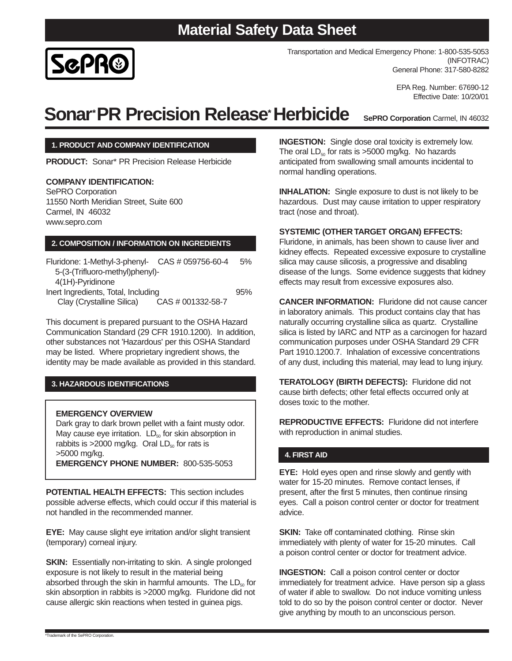### **Material Safety Data Sheet**



EPA Reg. Number: 67690-12 Effective Date: 10/20/01

# **Sonar\*PR Precision Release\* Herbicide**

**SePRO Corporation** Carmel, IN 46032

#### **1. PRODUCT AND COMPANY IDENTIFICATION**

**PRODUCT:** Sonar\* PR Precision Release Herbicide

#### **COMPANY IDENTIFICATION:**

SePRO Corporation 11550 North Meridian Street, Suite 600 Carmel, IN 46032 www.sepro.com

#### **2. COMPOSITION / INFORMATION ON INGREDIENTS**

| Fluridone: 1-Methyl-3-phenyl- CAS # 059756-60-4 | 5%  |
|-------------------------------------------------|-----|
| 5-(3-(Trifluoro-methyl)phenyl)-                 |     |
| 4(1H)-Pyridinone                                |     |
| Inert Ingredients, Total, Including             | 95% |
| Clay (Crystalline Silica)<br>CAS # 001332-58-7  |     |

This document is prepared pursuant to the OSHA Hazard Communication Standard (29 CFR 1910.1200). In addition, other substances not 'Hazardous' per this OSHA Standard may be listed. Where proprietary ingredient shows, the identity may be made available as provided in this standard.

#### **3. HAZARDOUS IDENTIFICATIONS**

#### **EMERGENCY OVERVIEW**

Dark gray to dark brown pellet with a faint musty odor. May cause eye irritation.  $LD_{50}$  for skin absorption in rabbits is  $>$ 2000 mg/kg. Oral LD<sub>50</sub> for rats is >5000 mg/kg. **EMERGENCY PHONE NUMBER:** 800-535-5053

**POTENTIAL HEALTH EFFECTS:** This section includes possible adverse effects, which could occur if this material is not handled in the recommended manner.

**EYE:** May cause slight eye irritation and/or slight transient (temporary) corneal injury.

**SKIN:** Essentially non-irritating to skin. A single prolonged exposure is not likely to result in the material being absorbed through the skin in harmful amounts. The  $LD_{50}$  for skin absorption in rabbits is >2000 mg/kg. Fluridone did not cause allergic skin reactions when tested in guinea pigs.

**INGESTION:** Single dose oral toxicity is extremely low. The oral  $LD_{50}$  for rats is  $>5000$  mg/kg. No hazards anticipated from swallowing small amounts incidental to normal handling operations.

**INHALATION:** Single exposure to dust is not likely to be hazardous. Dust may cause irritation to upper respiratory tract (nose and throat).

#### **SYSTEMIC (OTHER TARGET ORGAN) EFFECTS:**

Fluridone, in animals, has been shown to cause liver and kidney effects. Repeated excessive exposure to crystalline silica may cause silicosis, a progressive and disabling disease of the lungs. Some evidence suggests that kidney effects may result from excessive exposures also.

**CANCER INFORMATION:** Fluridone did not cause cancer in laboratory animals. This product contains clay that has naturally occurring crystalline silica as quartz. Crystalline silica is listed by IARC and NTP as a carcinogen for hazard communication purposes under OSHA Standard 29 CFR Part 1910.1200.7. Inhalation of excessive concentrations of any dust, including this material, may lead to lung injury.

**TERATOLOGY (BIRTH DEFECTS):** Fluridone did not cause birth defects; other fetal effects occurred only at doses toxic to the mother.

**REPRODUCTIVE EFFECTS:** Fluridone did not interfere with reproduction in animal studies.

#### **4. FIRST AID**

**EYE:** Hold eyes open and rinse slowly and gently with water for 15-20 minutes. Remove contact lenses, if present, after the first 5 minutes, then continue rinsing eyes. Call a poison control center or doctor for treatment advice.

**SKIN:** Take off contaminated clothing. Rinse skin immediately with plenty of water for 15-20 minutes. Call a poison control center or doctor for treatment advice.

**INGESTION:** Call a poison control center or doctor immediately for treatment advice. Have person sip a glass of water if able to swallow. Do not induce vomiting unless told to do so by the poison control center or doctor. Never give anything by mouth to an unconscious person.

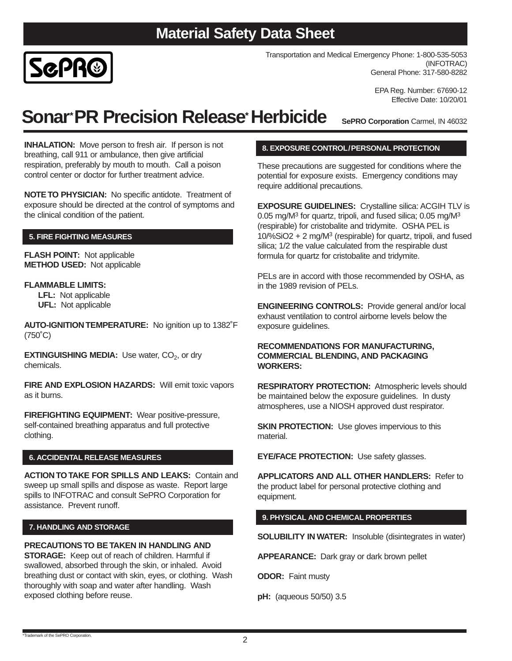

Transportation and Medical Emergency Phone: 1-800-535-5053 (INFOTRAC) General Phone: 317-580-8282

> EPA Reg. Number: 67690-12 Effective Date: 10/20/01

## **Sonar\*PR Precision Release\*Herbicide**

**SePRO Corporation** Carmel, IN 46032

**INHALATION:** Move person to fresh air. If person is not breathing, call 911 or ambulance, then give artificial respiration, preferably by mouth to mouth. Call a poison control center or doctor for further treatment advice.

**NOTE TO PHYSICIAN:** No specific antidote. Treatment of exposure should be directed at the control of symptoms and the clinical condition of the patient.

#### **5. FIRE FIGHTING MEASURES**

**FLASH POINT:** Not applicable **METHOD USED:** Not applicable

#### **FLAMMABLE LIMITS:**

**LFL:** Not applicable **UFL:** Not applicable

**AUTO-IGNITION TEMPERATURE:** No ignition up to 1382˚F (750˚C)

**EXTINGUISHING MEDIA:** Use water, CO<sub>2</sub>, or dry chemicals.

**FIRE AND EXPLOSION HAZARDS:** Will emit toxic vapors as it burns.

**FIREFIGHTING EQUIPMENT:** Wear positive-pressure, self-contained breathing apparatus and full protective clothing.

#### **6. ACCIDENTAL RELEASE MEASURES**

**ACTION TO TAKE FOR SPILLS AND LEAKS:** Contain and sweep up small spills and dispose as waste. Report large spills to INFOTRAC and consult SePRO Corporation for assistance. Prevent runoff.

#### **7. HANDLING AND STORAGE**

**PRECAUTIONS TO BE TAKEN IN HANDLING AND STORAGE:** Keep out of reach of children. Harmful if swallowed, absorbed through the skin, or inhaled. Avoid breathing dust or contact with skin, eyes, or clothing. Wash thoroughly with soap and water after handling. Wash exposed clothing before reuse.

#### **8. EXPOSURE CONTROL/PERSONAL PROTECTION**

These precautions are suggested for conditions where the potential for exposure exists. Emergency conditions may require additional precautions.

**EXPOSURE GUIDELINES:** Crystalline silica: ACGIH TLV is 0.05 mg/ $M<sup>3</sup>$  for quartz, tripoli, and fused silica; 0.05 mg/ $M<sup>3</sup>$ (respirable) for cristobalite and tridymite. OSHA PEL is 10/%SiO2 + 2 mg/M3 (respirable) for quartz, tripoli, and fused silica; 1/2 the value calculated from the respirable dust formula for quartz for cristobalite and tridymite.

PELs are in accord with those recommended by OSHA, as in the 1989 revision of PELs.

**ENGINEERING CONTROLS:** Provide general and/or local exhaust ventilation to control airborne levels below the exposure guidelines.

#### **RECOMMENDATIONS FOR MANUFACTURING, COMMERCIAL BLENDING, AND PACKAGING WORKERS:**

**RESPIRATORY PROTECTION:** Atmospheric levels should be maintained below the exposure guidelines. In dusty atmospheres, use a NIOSH approved dust respirator.

**SKIN PROTECTION:** Use gloves impervious to this material.

**EYE/FACE PROTECTION:** Use safety glasses.

**APPLICATORS AND ALL OTHER HANDLERS:** Refer to the product label for personal protective clothing and equipment.

#### **9. PHYSICAL AND CHEMICAL PROPERTIES**

**SOLUBILITY IN WATER:** Insoluble (disintegrates in water)

**APPEARANCE:** Dark gray or dark brown pellet

**ODOR:** Faint musty

**pH:** (aqueous 50/50) 3.5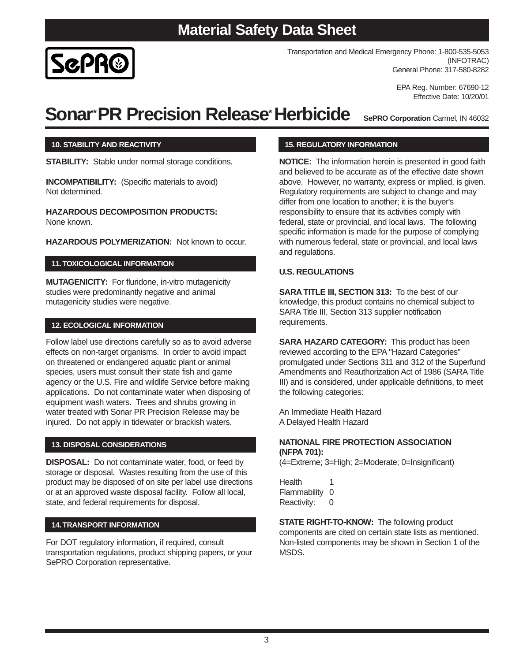3

## **Material Safety Data Sheet**

Transportation and Medical Emergency Phone: 1-800-535-5053 (INFOTRAC) General Phone: 317-580-8282

> EPA Reg. Number: 67690-12 Effective Date: 10/20/01

# **Sonar\*PR Precision Release\*Herbicide**

**15. REGULATORY INFORMATION**

**NOTICE:** The information herein is presented in good faith and believed to be accurate as of the effective date shown above. However, no warranty, express or implied, is given. Regulatory requirements are subject to change and may differ from one location to another; it is the buyer's responsibility to ensure that its activities comply with federal, state or provincial, and local laws. The following specific information is made for the purpose of complying with numerous federal, state or provincial, and local laws and regulations.

#### **U.S. REGULATIONS**

**SARA TITLE III, SECTION 313:** To the best of our knowledge, this product contains no chemical subject to SARA Title III, Section 313 supplier notification requirements.

**SARA HAZARD CATEGORY:** This product has been reviewed according to the EPA "Hazard Categories" promulgated under Sections 311 and 312 of the Superfund Amendments and Reauthorization Act of 1986 (SARA Title III) and is considered, under applicable definitions, to meet the following categories:

An Immediate Health Hazard A Delayed Health Hazard

#### **NATIONAL FIRE PROTECTION ASSOCIATION (NFPA 701):**

(4=Extreme; 3=High; 2=Moderate; 0=Insignificant)

Health 1 Flammability 0 Reactivity: 0

**STATE RIGHT-TO-KNOW:** The following product components are cited on certain state lists as mentioned. Non-listed components may be shown in Section 1 of the MSDS.

Follow label use directions carefully so as to avoid adverse effects on non-target organisms. In order to avoid impact on threatened or endangered aquatic plant or animal species, users must consult their state fish and game agency or the U.S. Fire and wildlife Service before making **12. ECOLOGICAL INFORMATION**

**STABILITY:** Stable under normal storage conditions.

**INCOMPATIBILITY:** (Specific materials to avoid)

**HAZARDOUS DECOMPOSITION PRODUCTS:**

**HAZARDOUS POLYMERIZATION: Not known to occur.** 

**MUTAGENICITY:** For fluridone, in-vitro mutagenicity studies were predominantly negative and animal

applications. Do not contaminate water when disposing of equipment wash waters. Trees and shrubs growing in water treated with Sonar PR Precision Release may be injured. Do not apply in tidewater or brackish waters.

#### **13. DISPOSAL CONSIDERATIONS**

mutagenicity studies were negative.

**11.TOXICOLOGICAL INFORMATION**

**DISPOSAL:** Do not contaminate water, food, or feed by storage or disposal. Wastes resulting from the use of this product may be disposed of on site per label use directions or at an approved waste disposal facility. Follow all local, state, and federal requirements for disposal.

#### **14.TRANSPORT INFORMATION**

For DOT regulatory information, if required, consult transportation regulations, product shipping papers, or your SePRO Corporation representative.

# SGPR®

Not determined.

None known.



**10. STABILITY AND REACTIVITY**

**SePRO Corporation** Carmel, IN 46032